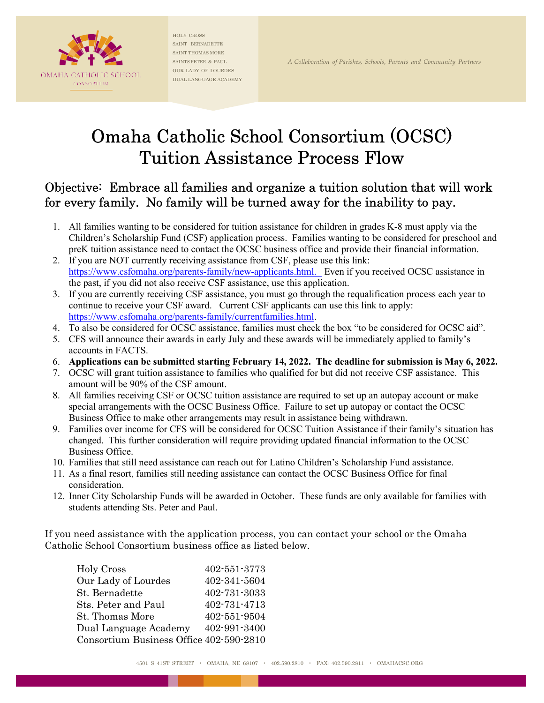

HOLY CROSS SAINT BERNADETTE SAINT THOMAS MORE SAINTS PETER & PAUL SAINTS PETER & PAUL  $\,$  A Collaboration of Parishes, Schools, Parents and Community Partners OUR LADY OF LOURDES DUAL LANGUAGE ACADEMY

# Omaha Catholic School Consortium (OCSC) Tuition Assistance Process Flow

## Objective: Embrace all families and organize a tuition solution that will work for every family. No family will be turned away for the inability to pay.

- 1. All families wanting to be considered for tuition assistance for children in grades K-8 must apply via the Children's Scholarship Fund (CSF) application process. Families wanting to be considered for preschool and preK tuition assistance need to contact the OCSC business office and provide their financial information.
- 2. If you are NOT currently receiving assistance from CSF, please use this link: https://www.csfomaha.org/parents-family/new-applicants.html. Even if you received OCSC assistance in the past, if you did not also receive CSF assistance, use this application.
- 3. If you are currently receiving CSF assistance, you must go through the requalification process each year to continue to receive your CSF award. Current CSF applicants can use this link to apply: https://www.csfomaha.org/parents-family/currentfamilies.html.
- 4. To also be considered for OCSC assistance, families must check the box "to be considered for OCSC aid".
- 5. CFS will announce their awards in early July and these awards will be immediately applied to family's accounts in FACTS.
- 6. Applications can be submitted starting February 14, 2022. The deadline for submission is May 6, 2022.
- 7. OCSC will grant tuition assistance to families who qualified for but did not receive CSF assistance. This amount will be 90% of the CSF amount.
- 8. All families receiving CSF or OCSC tuition assistance are required to set up an autopay account or make special arrangements with the OCSC Business Office. Failure to set up autopay or contact the OCSC Business Office to make other arrangements may result in assistance being withdrawn.
- 9. Families over income for CFS will be considered for OCSC Tuition Assistance if their family's situation has changed. This further consideration will require providing updated financial information to the OCSC Business Office.
- 10. Families that still need assistance can reach out for Latino Children's Scholarship Fund assistance.
- 11. As a final resort, families still needing assistance can contact the OCSC Business Office for final consideration.
- 12. Inner City Scholarship Funds will be awarded in October. These funds are only available for families with students attending Sts. Peter and Paul.

If you need assistance with the application process, you can contact your school or the Omaha Catholic School Consortium business office as listed below.

| 402-551-3773                            |
|-----------------------------------------|
| 402-341-5604                            |
| 402-731-3033                            |
| 402-731-4713                            |
| 402-551-9504                            |
| 402-991-3400                            |
| Consortium Business Office 402-590-2810 |
|                                         |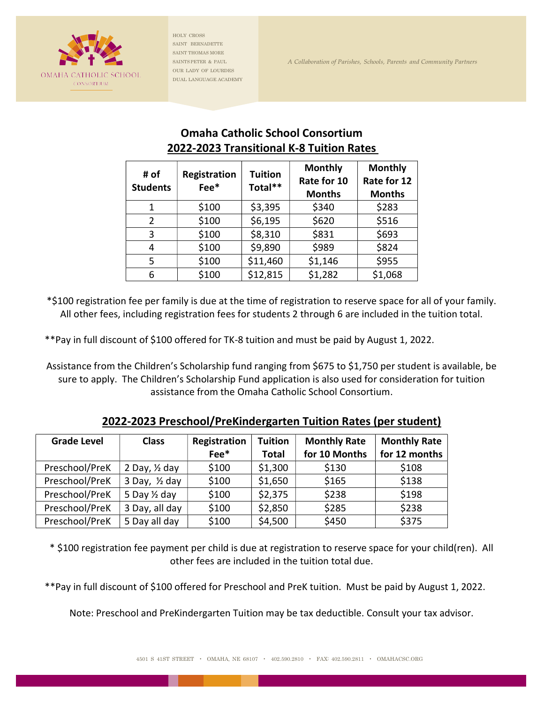

HOLY CROSS SAINT BERNADETTE SAINT THOMAS MORE SAINTS PETER & PAUL SAINTS PETER & PAUL A Collaboration of Parishes, Schools, Parents and Community Partners OUR LADY OF LOURDES DUAL LANGUAGE ACADEMY

## Omaha Catholic School Consortium 2022-2023 Transitional K-8 Tuition Rates

| # of<br><b>Students</b> | Registration<br>Fee* | <b>Tuition</b><br>Total** | <b>Monthly</b><br>Rate for 10<br><b>Months</b> | <b>Monthly</b><br>Rate for 12<br><b>Months</b> |
|-------------------------|----------------------|---------------------------|------------------------------------------------|------------------------------------------------|
| 1                       | \$100                | \$3,395                   | \$340                                          | \$283                                          |
| $\overline{2}$          | \$100                | \$6,195                   | \$620                                          | \$516                                          |
| 3                       | \$100                | \$8,310                   | \$831                                          | \$693                                          |
| 4                       | \$100                | \$9,890                   | \$989                                          | \$824                                          |
| 5                       | \$100                | \$11,460                  | \$1,146                                        | \$955                                          |
| 6                       | \$100                | \$12,815                  | \$1,282                                        | \$1,068                                        |

\*\$100 registration fee per family is due at the time of registration to reserve space for all of your family. All other fees, including registration fees for students 2 through 6 are included in the tuition total.

\*\*Pay in full discount of \$100 offered for TK-8 tuition and must be paid by August 1, 2022.

Assistance from the Children's Scholarship fund ranging from \$675 to \$1,750 per student is available, be sure to apply. The Children's Scholarship Fund application is also used for consideration for tuition assistance from the Omaha Catholic School Consortium.

| <b>Grade Level</b> | <b>Class</b>             | Registration       | <b>Tuition</b> | <b>Monthly Rate</b> | <b>Monthly Rate</b> |
|--------------------|--------------------------|--------------------|----------------|---------------------|---------------------|
|                    |                          | $Fee$ <sup>*</sup> | <b>Total</b>   | for 10 Months       | for 12 months       |
| Preschool/PreK     | 2 Day, $\frac{1}{2}$ day | \$100              | \$1,300        | \$130               | \$108               |
| Preschool/PreK     | 3 Day, $\frac{1}{2}$ day | \$100              | \$1,650        | \$165               | \$138               |
| Preschool/PreK     | 5 Day 1/2 day            | \$100              | \$2,375        | \$238               | \$198               |
| Preschool/PreK     | 3 Day, all day           | \$100              | \$2,850        | \$285               | \$238               |
| Preschool/PreK     | 5 Day all day            | \$100              | \$4,500        | \$450               | \$375               |

2022-2023 Preschool/PreKindergarten Tuition Rates (per student)

\* \$100 registration fee payment per child is due at registration to reserve space for your child(ren). All other fees are included in the tuition total due.

\*\*Pay in full discount of \$100 offered for Preschool and PreK tuition. Must be paid by August 1, 2022.

Note: Preschool and PreKindergarten Tuition may be tax deductible. Consult your tax advisor.